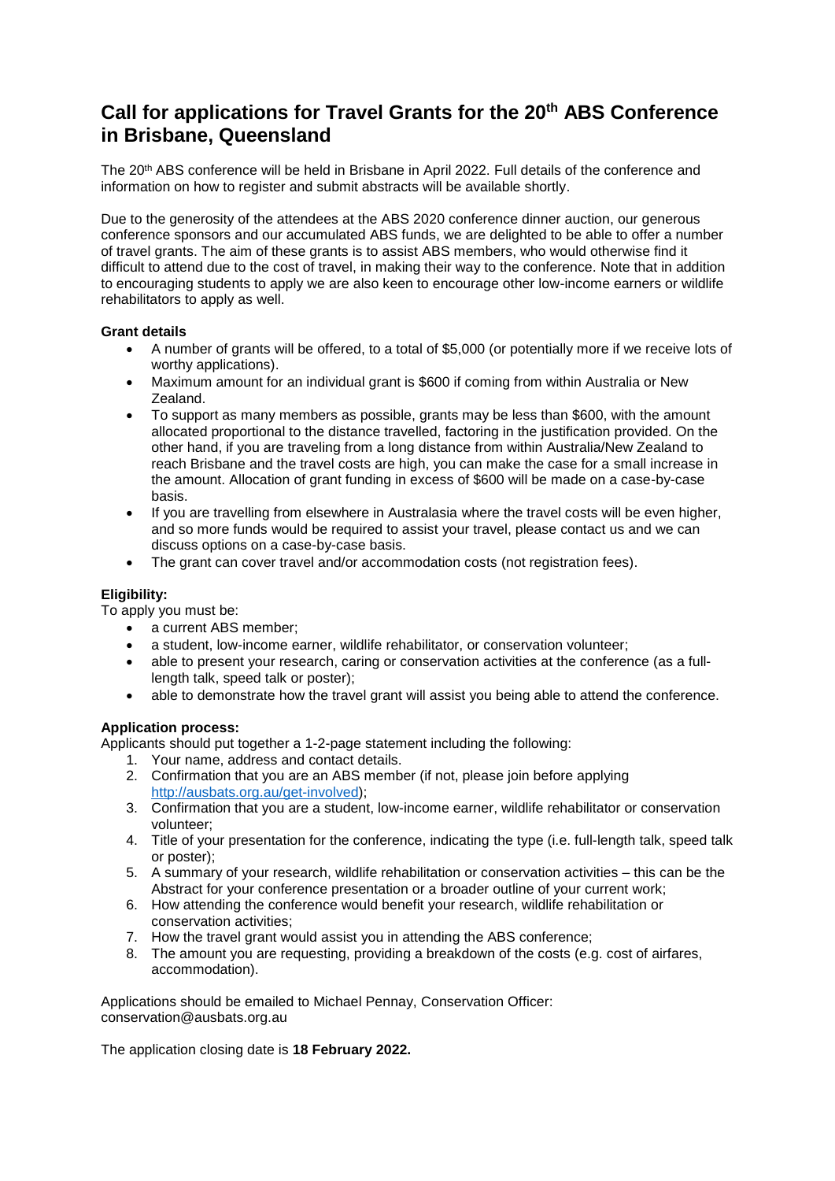## **Call for applications for Travel Grants for the 20th ABS Conference in Brisbane, Queensland**

The 20th ABS conference will be held in Brisbane in April 2022. Full details of the conference and information on how to register and submit abstracts will be available shortly.

Due to the generosity of the attendees at the ABS 2020 conference dinner auction, our generous conference sponsors and our accumulated ABS funds, we are delighted to be able to offer a number of travel grants. The aim of these grants is to assist ABS members, who would otherwise find it difficult to attend due to the cost of travel, in making their way to the conference. Note that in addition to encouraging students to apply we are also keen to encourage other low-income earners or wildlife rehabilitators to apply as well.

## **Grant details**

- A number of grants will be offered, to a total of \$5,000 (or potentially more if we receive lots of worthy applications).
- Maximum amount for an individual grant is \$600 if coming from within Australia or New Zealand.
- To support as many members as possible, grants may be less than \$600, with the amount allocated proportional to the distance travelled, factoring in the justification provided. On the other hand, if you are traveling from a long distance from within Australia/New Zealand to reach Brisbane and the travel costs are high, you can make the case for a small increase in the amount. Allocation of grant funding in excess of \$600 will be made on a case-by-case basis.
- If you are travelling from elsewhere in Australasia where the travel costs will be even higher, and so more funds would be required to assist your travel, please contact us and we can discuss options on a case-by-case basis.
- The grant can cover travel and/or accommodation costs (not registration fees).

## **Eligibility:**

To apply you must be:

- a current ABS member;
- a student, low-income earner, wildlife rehabilitator, or conservation volunteer;
- able to present your research, caring or conservation activities at the conference (as a fulllength talk, speed talk or poster);
- able to demonstrate how the travel grant will assist you being able to attend the conference.

## **Application process:**

Applicants should put together a 1-2-page statement including the following:

- 1. Your name, address and contact details.
- 2. Confirmation that you are an ABS member (if not, please join before applying [http://ausbats.org.au/get-involved\)](http://ausbats.org.au/get-involved/);
- 3. Confirmation that you are a student, low-income earner, wildlife rehabilitator or conservation volunteer;
- 4. Title of your presentation for the conference, indicating the type (i.e. full-length talk, speed talk or poster);
- 5. A summary of your research, wildlife rehabilitation or conservation activities this can be the Abstract for your conference presentation or a broader outline of your current work;
- 6. How attending the conference would benefit your research, wildlife rehabilitation or conservation activities;
- 7. How the travel grant would assist you in attending the ABS conference;
- 8. The amount you are requesting, providing a breakdown of the costs (e.g. cost of airfares, accommodation).

Applications should be emailed to Michael Pennay, Conservation Officer: conservation@ausbats.org.au

The application closing date is **18 February 2022.**